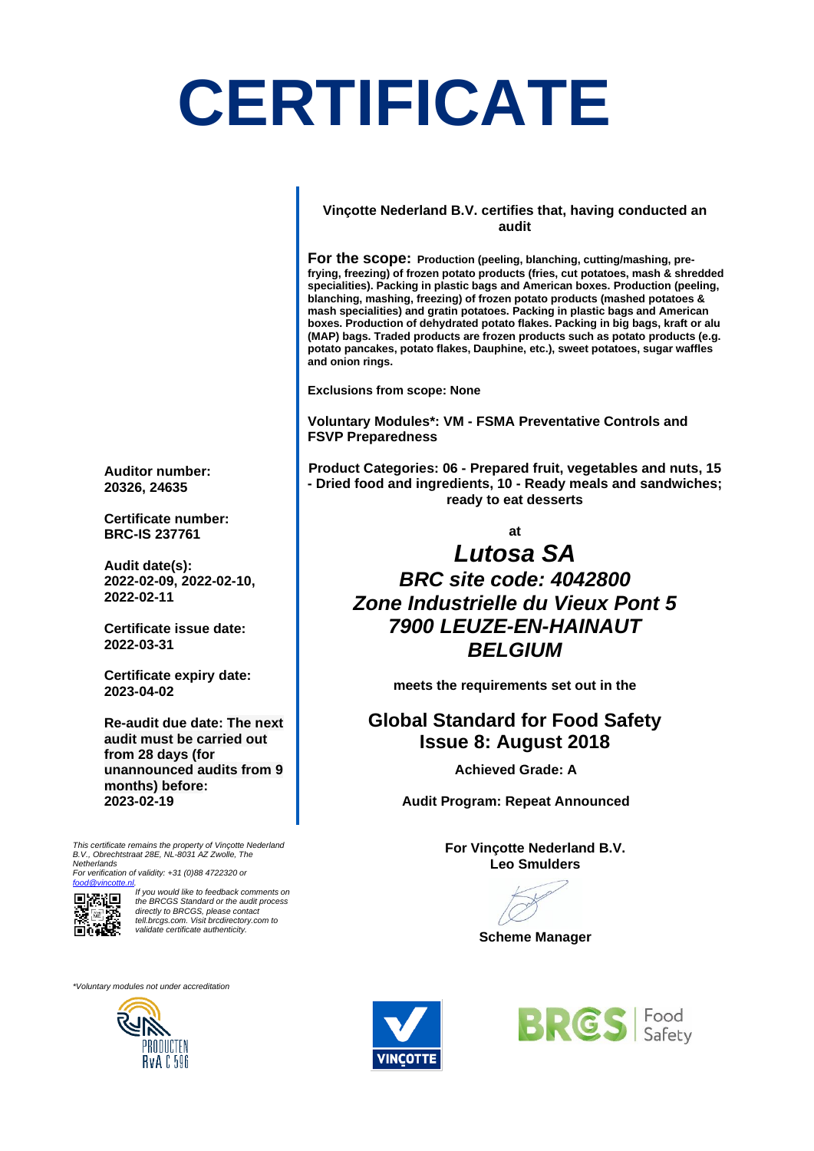## **CERTIFICATE**

#### **Vinçotte Nederland B.V. certifies that, having conducted an audit**

**For the scope: Production (peeling, blanching, cutting/mashing, prefrying, freezing) of frozen potato products (fries, cut potatoes, mash & shredded specialities). Packing in plastic bags and American boxes. Production (peeling, blanching, mashing, freezing) of frozen potato products (mashed potatoes & mash specialities) and gratin potatoes. Packing in plastic bags and American boxes. Production of dehydrated potato flakes. Packing in big bags, kraft or alu (MAP) bags. Traded products are frozen products such as potato products (e.g. potato pancakes, potato flakes, Dauphine, etc.), sweet potatoes, sugar waffles and onion rings.**

**Exclusions from scope: None**

**Voluntary Modules\*: VM - FSMA Preventative Controls and FSVP Preparedness**

**Product Categories: 06 - Prepared fruit, vegetables and nuts, 15 - Dried food and ingredients, 10 - Ready meals and sandwiches; ready to eat desserts**

**at**

### *Lutosa SA BRC site code: 4042800 Zone Industrielle du Vieux Pont 5 7900 LEUZE-EN-HAINAUT BELGIUM*

**meets the requirements set out in the**

#### **Global Standard for Food Safety Issue 8: August 2018**

**Achieved Grade: A**

**Audit Program: Repeat Announced**

**For Vinçotte Nederland B.V. Leo Smulders**

**Scheme Manager**





**Auditor number: 20326, 24635**

**Certificate number: BRC-IS 237761**

**Audit date(s): 2022-02-09, 2022-02-10, 2022-02-11**

**Certificate issue date: 2022-03-31**

**Certificate expiry date: 2023-04-02**

**Re-audit due date: The next audit must be carried out from 28 days (for unannounced audits from 9 months) before: 2023-02-19**

*This certificate remains the property of Vinçotte Nederland B.V., Obrechtstraat 28E, NL-8031 AZ Zwolle, The Netherlands* 

*For verification of validity: +31 (0)88 4722320 or [food@vincotte.nl.](mailto:food@vincotte.nl)*



*If you would like to feedback comments on the BRCGS Standard or the audit process directly to BRCGS, please contact tell.brcgs.com. Visit brcdirectory.com to validate certificate authenticity.*

*\*Voluntary modules not under accreditation*